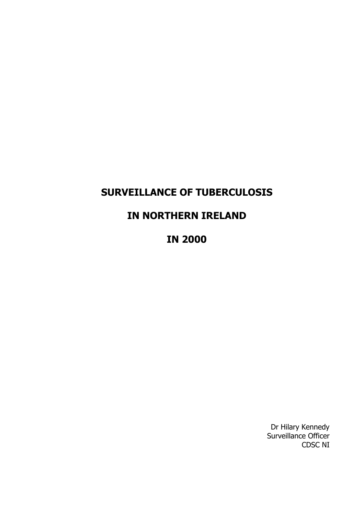# **SURVEILLANCE OF TUBERCULOSIS**

## **IN NORTHERN IRELAND**

**IN 2000**

Dr Hilary Kennedy Surveillance Officer CDSC NI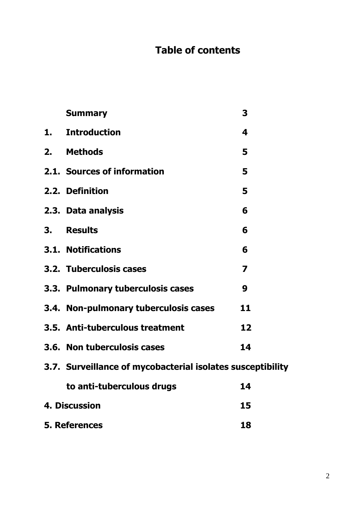# **Table of contents**

|    | <b>Summary</b>                                             | 3                       |
|----|------------------------------------------------------------|-------------------------|
|    | 1. Introduction                                            | 4                       |
|    | 2. Methods                                                 | 5                       |
|    | 2.1. Sources of information                                | 5                       |
|    | 2.2. Definition                                            | 5                       |
|    | 2.3. Data analysis                                         | 6                       |
| 3. | <b>Results</b>                                             | 6                       |
|    | <b>3.1. Notifications</b>                                  | 6                       |
|    | 3.2. Tuberculosis cases                                    | $\overline{\mathbf{z}}$ |
|    | 3.3. Pulmonary tuberculosis cases                          | 9                       |
|    | 3.4. Non-pulmonary tuberculosis cases                      | 11                      |
|    | 3.5. Anti-tuberculous treatment                            | 12                      |
|    | 3.6. Non tuberculosis cases                                | 14                      |
|    | 3.7. Surveillance of mycobacterial isolates susceptibility |                         |
|    | to anti-tuberculous drugs                                  | 14                      |
|    | 4. Discussion                                              | 15                      |
|    | <b>5. References</b>                                       | 18                      |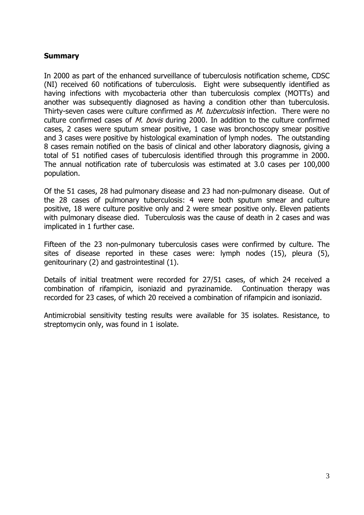#### <span id="page-2-0"></span>**Summary**

In 2000 as part of the enhanced surveillance of tuberculosis notification scheme, CDSC (NI) received 60 notifications of tuberculosis. Eight were subsequently identified as having infections with mycobacteria other than tuberculosis complex (MOTTs) and another was subsequently diagnosed as having a condition other than tuberculosis. Thirty-seven cases were culture confirmed as *M. tuberculosis* infection. There were no culture confirmed cases of  $M.$  bovis during 2000. In addition to the culture confirmed cases, 2 cases were sputum smear positive, 1 case was bronchoscopy smear positive and 3 cases were positive by histological examination of lymph nodes. The outstanding 8 cases remain notified on the basis of clinical and other laboratory diagnosis, giving a total of 51 notified cases of tuberculosis identified through this programme in 2000. The annual notification rate of tuberculosis was estimated at 3.0 cases per 100,000 population.

Of the 51 cases, 28 had pulmonary disease and 23 had non-pulmonary disease.Out of the 28 cases of pulmonary tuberculosis: 4 were both sputum smear and culture positive, 18 were culture positive only and 2 were smear positive only. Eleven patients with pulmonary disease died. Tuberculosis was the cause of death in 2 cases and was implicated in 1 further case.

Fifteen of the 23 non-pulmonary tuberculosis cases were confirmed by culture. The sites of disease reported in these cases were: lymph nodes (15), pleura (5), genitourinary (2) and gastrointestinal (1).

Details of initial treatment were recorded for 27/51 cases, of which 24 received a combination of rifampicin, isoniazid and pyrazinamide. Continuation therapy was recorded for 23 cases, of which 20 received a combination of rifampicin and isoniazid.

Antimicrobial sensitivity testing results were available for 35 isolates. Resistance, to streptomycin only, was found in 1 isolate.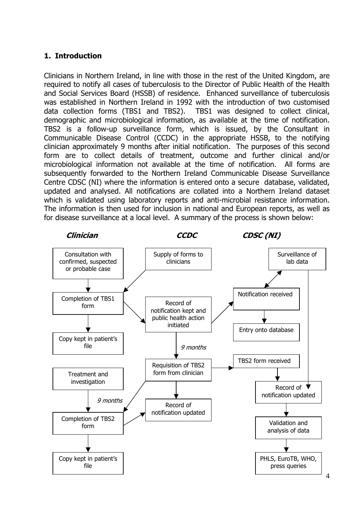#### <span id="page-3-0"></span>**1. Introduction**

Clinicians in Northern Ireland, in line with those in the rest of the United Kingdom, are required to notify all cases of tuberculosis to the Director of Public Health of the Health and Social Services Board (HSSB) of residence. Enhanced surveillance of tuberculosis was established in Northern Ireland in 1992 with the introduction of two customised data collection forms (TBS1 and TBS2). TBS1 was designed to collect clinical, demographic and microbiological information, as available at the time of notification. TBS2 is a follow-up surveillance form, which is issued, by the Consultant in Communicable Disease Control (CCDC) in the appropriate HSSB, to the notifying clinician approximately 9 months after initial notification. The purposes of this second form are to collect details of treatment, outcome and further clinical and/or microbiological information not available at the time of notification. All forms are subsequently forwarded to the Northern Ireland Communicable Disease Surveillance Centre CDSC (NI) where the information is entered onto a secure database, validated, updated and analysed. All notifications are collated into a Northern Ireland dataset which is validated using laboratory reports and anti-microbial resistance information. The information is then used for inclusion in national and European reports, as well as for disease surveillance at a local level. A summary of the process is shown below:

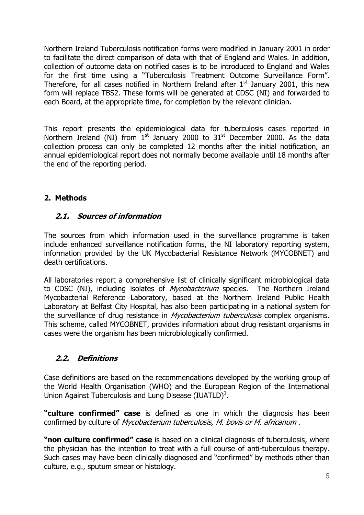<span id="page-4-0"></span>Northern Ireland Tuberculosis notification forms were modified in January 2001 in order to facilitate the direct comparison of data with that of England and Wales. In addition, collection of outcome data on notified cases is to be introduced to England and Wales for the first time using a "Tuberculosis Treatment Outcome Surveillance Form". Therefore, for all cases notified in Northern Ireland after  $1<sup>st</sup>$  January 2001, this new form will replace TBS2. These forms will be generated at CDSC (NI) and forwarded to each Board, at the appropriate time, for completion by the relevant clinician.

This report presents the epidemiological data for tuberculosis cases reported in Northern Ireland (NI) from  $1<sup>st</sup>$  January 2000 to  $31<sup>st</sup>$  December 2000. As the data collection process can only be completed 12 months after the initial notification, an annual epidemiological report does not normally become available until 18 months after the end of the reporting period.

## **2. Methods**

## **2.1. Sources of information**

The sources from which information used in the surveillance programme is taken include enhanced surveillance notification forms, the NI laboratory reporting system, information provided by the UK Mycobacterial Resistance Network (MYCOBNET) and death certifications.

All laboratories report a comprehensive list of clinically significant microbiological data to CDSC (NI), including isolates of *Mycobacterium* species. The Northern Ireland Mycobacterial Reference Laboratory, based at the Northern Ireland Public Health Laboratory at Belfast City Hospital, has also been participating in a national system for the surveillance of drug resistance in *Mycobacterium tuberculosis* complex organisms. This scheme, called MYCOBNET, provides information about drug resistant organisms in cases were the organism has been microbiologically confirmed.

## **2.2. Definitions**

Case definitions are based on the recommendations developed by the working group of the World Health Organisation (WHO) and the European Region of the International Union Against Tuberculosis and Lung Disease (IUATLD)<sup>1</sup>.

**"culture confirmed" case** is defined as one in which the diagnosis has been confirmed by culture of Mycobacterium tuberculosis, M. bovis or M. africanum .

**"non culture confirmed" case** is based on a clinical diagnosis of tuberculosis, where the physician has the intention to treat with a full course of anti-tuberculous therapy. Such cases may have been clinically diagnosed and "confirmed" by methods other than culture, e.g., sputum smear or histology.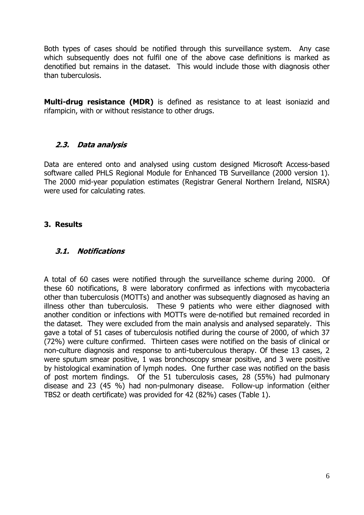<span id="page-5-0"></span>Both types of cases should be notified through this surveillance system. Any case which subsequently does not fulfil one of the above case definitions is marked as denotified but remains in the dataset. This would include those with diagnosis other than tuberculosis.

**Multi-drug resistance (MDR)** is defined as resistance to at least isoniazid and rifampicin, with or without resistance to other drugs.

## **2.3. Data analysis**

Data are entered onto and analysed using custom designed Microsoft Access-based software called PHLS Regional Module for Enhanced TB Surveillance (2000 version 1). The 2000 mid-year population estimates (Registrar General Northern Ireland, NISRA) were used for calculating rates.

#### **3. Results**

#### **3.1. Notifications**

A total of 60 cases were notified through the surveillance scheme during 2000. Of these 60 notifications, 8 were laboratory confirmed as infections with mycobacteria other than tuberculosis (MOTTs) and another was subsequently diagnosed as having an illness other than tuberculosis. These 9 patients who were either diagnosed with another condition or infections with MOTTs were de-notified but remained recorded in the dataset. They were excluded from the main analysis and analysed separately. This gave a total of 51 cases of tuberculosis notified during the course of 2000, of which 37 (72%) were culture confirmed. Thirteen cases were notified on the basis of clinical or non-culture diagnosis and response to anti-tuberculous therapy. Of these 13 cases, 2 were sputum smear positive, 1 was bronchoscopy smear positive, and 3 were positive by histological examination of lymph nodes. One further case was notified on the basis of post mortem findings. Of the 51 tuberculosis cases, 28 (55%) had pulmonary disease and 23 (45 %) had non-pulmonary disease. Follow-up information (either TBS2 or death certificate) was provided for 42 (82%) cases (Table 1).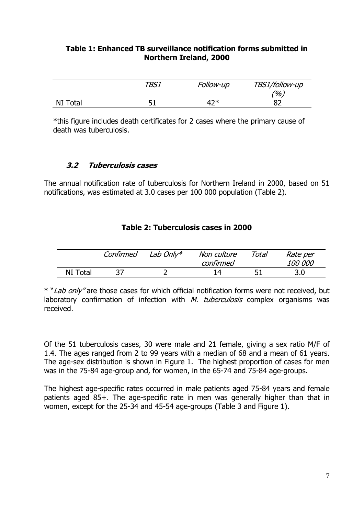#### **Table 1: Enhanced TB surveillance notification forms submitted in Northern Ireland, 2000**

|          | TBS1 | <i>Follow-up</i> | TBS1/follow-up      |
|----------|------|------------------|---------------------|
|          |      |                  | $\sqrt{\frac{2}{}}$ |
| NI Total | г    | 4ว∗              |                     |

 \*this figure includes death certificates for 2 cases where the primary cause of death was tuberculosis.

#### **3.2 Tuberculosis cases**

The annual notification rate of tuberculosis for Northern Ireland in 2000, based on 51 notifications, was estimated at 3.0 cases per 100 000 population (Table 2).

#### **Table 2: Tuberculosis cases in 2000**

|          | Confirmed | Lab Only $*$ | Non culture<br>confirmed | Total | Rate per<br><i>100 000</i> |
|----------|-----------|--------------|--------------------------|-------|----------------------------|
| NI Total |           |              | 14.                      |       | 3.0                        |

\* "*Lab only*" are those cases for which official notification forms were not received, but laboratory confirmation of infection with  $M$ , tuberculosis complex organisms was received.

Of the 51 tuberculosis cases, 30 were male and 21 female, giving a sex ratio M/F of 1.4. The ages ranged from 2 to 99 years with a median of 68 and a mean of 61 years. The age-sex distribution is shown in Figure 1. The highest proportion of cases for men was in the 75-84 age-group and, for women, in the 65-74 and 75-84 age-groups.

The highest age-specific rates occurred in male patients aged 75-84 years and female patients aged 85+. The age-specific rate in men was generally higher than that in women, except for the 25-34 and 45-54 age-groups (Table 3 and Figure 1).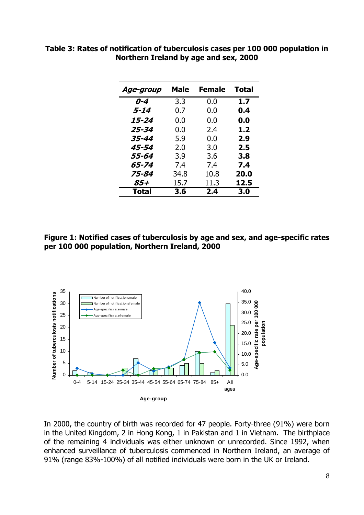| Age-group | <b>Male</b>      | <b>Female</b> | <b>Total</b> |
|-----------|------------------|---------------|--------------|
| $0 - 4$   | $3.\overline{3}$ | 0.0           | 1.7          |
| 5-14      | 0.7              | 0.0           | 0.4          |
| 15-24     | 0.0              | 0.0           | 0.0          |
| 25-34     | 0.0              | 2.4           | 1.2          |
| 35-44     | 5.9              | 0.0           | 2.9          |
| 45-54     | 2.0              | 3.0           | 2.5          |
| 55-64     | 3.9              | 3.6           | 3.8          |
| 65-74     | 7.4              | 7.4           | 7.4          |
| 75-84     | 34.8             | 10.8          | 20.0         |
| 85+       | 15.7             | 11.3          | 12.5         |
| Total     | 3.6              | 2.4           | 3.0          |

**Table 3: Rates of notification of tuberculosis cases per 100 000 population in Northern Ireland by age and sex, 2000** 

**Figure 1: Notified cases of tuberculosis by age and sex, and age-specific rates per 100 000 population, Northern Ireland, 2000**



In 2000, the country of birth was recorded for 47 people. Forty-three (91%) were born in the United Kingdom, 2 in Hong Kong, 1 in Pakistan and 1 in Vietnam. The birthplace of the remaining 4 individuals was either unknown or unrecorded. Since 1992, when enhanced surveillance of tuberculosis commenced in Northern Ireland, an average of 91% (range 83%-100%) of all notified individuals were born in the UK or Ireland.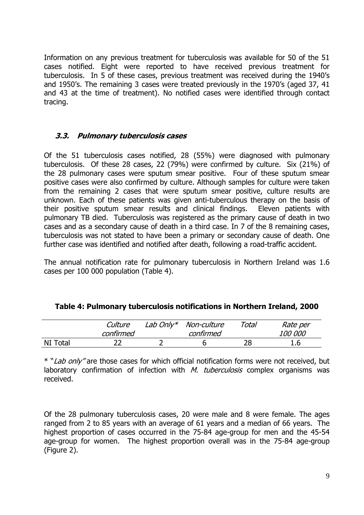Information on any previous treatment for tuberculosis was available for 50 of the 51 cases notified. Eight were reported to have received previous treatment for tuberculosis. In 5 of these cases, previous treatment was received during the 1940's and 1950's. The remaining 3 cases were treated previously in the 1970's (aged 37, 41 and 43 at the time of treatment). No notified cases were identified through contact tracing.

#### **3.3. Pulmonary tuberculosis cases**

Of the 51 tuberculosis cases notified, 28 (55%) were diagnosed with pulmonary tuberculosis. Of these 28 cases, 22 (79%) were confirmed by culture. Six (21%) of the 28 pulmonary cases were sputum smear positive. Four of these sputum smear positive cases were also confirmed by culture. Although samples for culture were taken from the remaining 2 cases that were sputum smear positive, culture results are unknown. Each of these patients was given anti-tuberculous therapy on the basis of their positive sputum smear results and clinical findings. Eleven patients with pulmonary TB died. Tuberculosis was registered as the primary cause of death in two cases and as a secondary cause of death in a third case. In 7 of the 8 remaining cases, tuberculosis was not stated to have been a primary or secondary cause of death. One further case was identified and notified after death, following a road-traffic accident.

The annual notification rate for pulmonary tuberculosis in Northern Ireland was 1.6 cases per 100 000 population (Table 4).

|          | Culture<br>confirmed | Lab Only* Non-culture<br>confirmed | Total | Rate per<br><i>100 000</i> |
|----------|----------------------|------------------------------------|-------|----------------------------|
| NI Total |                      |                                    |       | 1.6                        |

#### **Table 4: Pulmonary tuberculosis notifications in Northern Ireland, 2000**

\* "*Lab only*" are those cases for which official notification forms were not received, but laboratory confirmation of infection with  $M$ . tuberculosis complex organisms was received.

Of the 28 pulmonary tuberculosis cases, 20 were male and 8 were female. The ages ranged from 2 to 85 years with an average of 61 years and a median of 66 years. The highest proportion of cases occurred in the 75-84 age-group for men and the 45-54 age-group for women. The highest proportion overall was in the 75-84 age-group (Figure 2).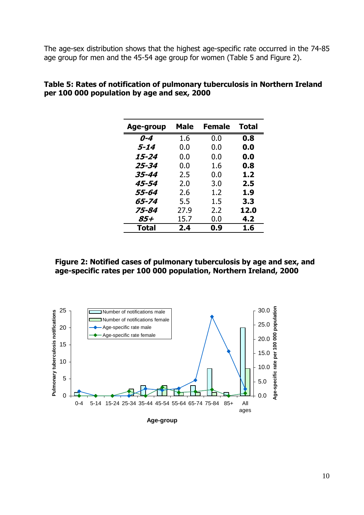The age-sex distribution shows that the highest age-specific rate occurred in the 74-85 age group for men and the 45-54 age group for women (Table 5 and Figure 2).

| Age-group | Male | <b>Female</b> | <b>Total</b> |
|-----------|------|---------------|--------------|
| $0 - 4$   | 1.6  | 0.0           | 0.8          |
| 5-14      | 0.0  | 0.0           | 0.0          |
| 15-24     | 0.0  | 0.0           | 0.0          |
| 25-34     | 0.0  | 1.6           | 0.8          |
| 35-44     | 2.5  | 0.0           | 1.2          |
| 45-54     | 2.0  | 3.0           | $2.5\,$      |
| 55-64     | 2.6  | 1.2           | 1.9          |
| 65-74     | 5.5  | 1.5           | 3.3          |
| 75-84     | 27.9 | 2.2           | 12.0         |
| 85+       | 15.7 | 0.0           | 4.2          |
| Total     | 2.4  | 0.9           | 1.6          |

#### **Table 5: Rates of notification of pulmonary tuberculosis in Northern Ireland per 100 000 population by age and sex, 2000**

#### **Figure 2: Notified cases of pulmonary tuberculosis by age and sex, and age-specific rates per 100 000 population, Northern Ireland, 2000**

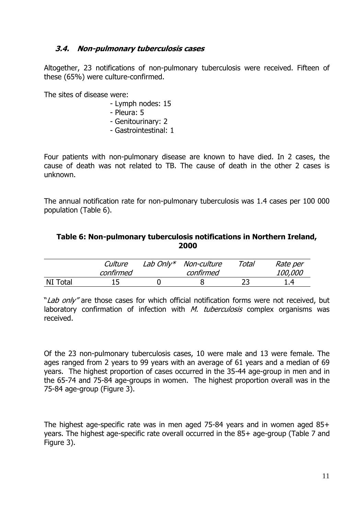## **3.4. Non-pulmonary tuberculosis cases**

Altogether, 23 notifications of non-pulmonary tuberculosis were received. Fifteen of these (65%) were culture-confirmed.

The sites of disease were:

- Lymph nodes: 15
- Pleura: 5
- Genitourinary: 2
- Gastrointestinal: 1

Four patients with non-pulmonary disease are known to have died. In 2 cases, the cause of death was not related to TB. The cause of death in the other 2 cases is unknown.

The annual notification rate for non-pulmonary tuberculosis was 1.4 cases per 100 000 population (Table 6).

#### **Table 6: Non-pulmonary tuberculosis notifications in Northern Ireland, 2000**

|          | Culture<br>confirmed | Lab Only $*$ Non-culture<br>confirmed | Total | Rate per<br><i>100,000</i> |
|----------|----------------------|---------------------------------------|-------|----------------------------|
| NI Total | ו נ                  |                                       |       |                            |

"*Lab only*" are those cases for which official notification forms were not received, but laboratory confirmation of infection with  $M$ . tuberculosis complex organisms was received.

Of the 23 non-pulmonary tuberculosis cases, 10 were male and 13 were female. The ages ranged from 2 years to 99 years with an average of 61 years and a median of 69 years. The highest proportion of cases occurred in the 35-44 age-group in men and in the 65-74 and 75-84 age-groups in women. The highest proportion overall was in the 75-84 age-group (Figure 3).

The highest age-specific rate was in men aged 75-84 years and in women aged 85+ years. The highest age-specific rate overall occurred in the 85+ age-group (Table 7 and Figure 3).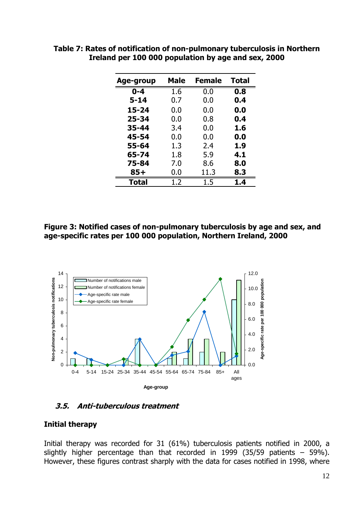| Age-group | Male | <b>Female</b> | <b>Total</b> |
|-----------|------|---------------|--------------|
| $0 - 4$   | 1.6  | 0.0           | 0.8          |
| $5 - 14$  | 0.7  | 0.0           | 0.4          |
| $15 - 24$ | 0.0  | 0.0           | 0.0          |
| $25 - 34$ | 0.0  | 0.8           | 0.4          |
| 35-44     | 3.4  | 0.0           | 1.6          |
| 45-54     | 0.0  | 0.0           | 0.0          |
| 55-64     | 1.3  | 2.4           | 1.9          |
| 65-74     | 1.8  | 5.9           | 4.1          |
| 75-84     | 7.0  | 8.6           | 8.0          |
| 85+       | 0.0  | 11.3          | 8.3          |
| Total     | 1.2  | 1.5           | 1.4          |

**Table 7: Rates of notification of non-pulmonary tuberculosis in Northern Ireland per 100 000 population by age and sex, 2000** 

#### **Figure 3: Notified cases of non-pulmonary tuberculosis by age and sex, and age-specific rates per 100 000 population, Northern Ireland, 2000**



**3.5. Anti-tuberculous treatment** 

#### **Initial therapy**

Initial therapy was recorded for 31 (61%) tuberculosis patients notified in 2000, a slightly higher percentage than that recorded in 1999 (35/59 patients – 59%). However, these figures contrast sharply with the data for cases notified in 1998, where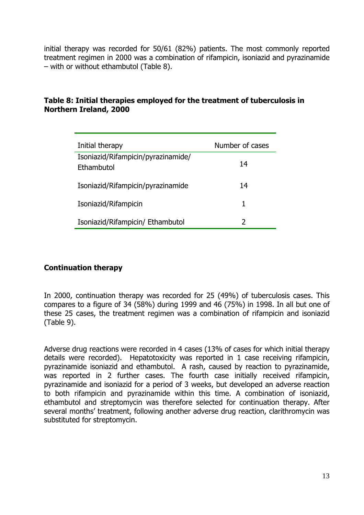initial therapy was recorded for 50/61 (82%) patients. The most commonly reported treatment regimen in 2000 was a combination of rifampicin, isoniazid and pyrazinamide – with or without ethambutol (Table 8).

| Initial therapy                                  | Number of cases |
|--------------------------------------------------|-----------------|
| Isoniazid/Rifampicin/pyrazinamide/<br>Ethambutol | 14              |
| Isoniazid/Rifampicin/pyrazinamide                | 14              |
| Isoniazid/Rifampicin                             | 1               |
| Isoniazid/Rifampicin/ Ethambutol                 |                 |

## **Table 8: Initial therapies employed for the treatment of tuberculosis in Northern Ireland, 2000**

## **Continuation therapy**

In 2000, continuation therapy was recorded for 25 (49%) of tuberculosis cases. This compares to a figure of 34 (58%) during 1999 and 46 (75%) in 1998. In all but one of these 25 cases, the treatment regimen was a combination of rifampicin and isoniazid (Table 9).

Adverse drug reactions were recorded in 4 cases (13% of cases for which initial therapy details were recorded). Hepatotoxicity was reported in 1 case receiving rifampicin, pyrazinamide isoniazid and ethambutol. A rash, caused by reaction to pyrazinamide, was reported in 2 further cases. The fourth case initially received rifampicin, pyrazinamide and isoniazid for a period of 3 weeks, but developed an adverse reaction to both rifampicin and pyrazinamide within this time. A combination of isoniazid, ethambutol and streptomycin was therefore selected for continuation therapy. After several months' treatment, following another adverse drug reaction, clarithromycin was substituted for streptomycin.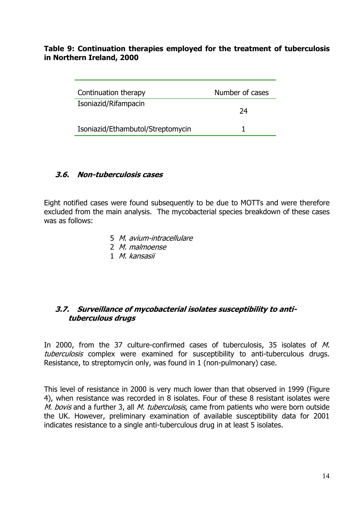#### **Table 9: Continuation therapies employed for the treatment of tuberculosis in Northern Ireland, 2000**

| Continuation therapy              | Number of cases |
|-----------------------------------|-----------------|
| Isoniazid/Rifampacin              | 74              |
| Isoniazid/Ethambutol/Streptomycin |                 |

## **3.6. Non-tuberculosis cases**

Eight notified cases were found subsequently to be due to MOTTs and were therefore excluded from the main analysis. The mycobacterial species breakdown of these cases was as follows:

- 5 M. avium-intracellulare
- 2 M. malmoense
- 1 M. kansasii

## **3.7. Surveillance of mycobacterial isolates susceptibility to antituberculous drugs**

In 2000, from the 37 culture-confirmed cases of tuberculosis, 35 isolates of M. tuberculosis complex were examined for susceptibility to anti-tuberculous drugs. Resistance, to streptomycin only, was found in 1 (non-pulmonary) case.

This level of resistance in 2000 is very much lower than that observed in 1999 (Figure 4), when resistance was recorded in 8 isolates. Four of these 8 resistant isolates were M. bovis and a further 3, all M. tuberculosis, came from patients who were born outside the UK. However, preliminary examination of available susceptibility data for 2001 indicates resistance to a single anti-tuberculous drug in at least 5 isolates.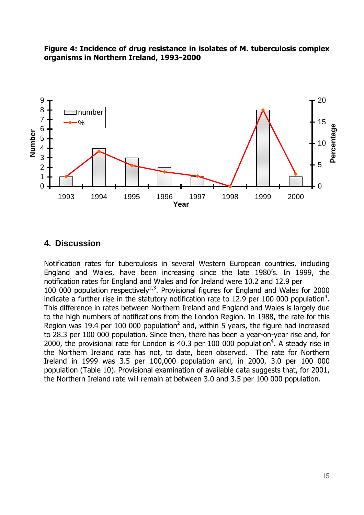

#### **Figure 4: Incidence of drug resistance in isolates of M. tuberculosis complex organisms in Northern Ireland, 1993-2000**

## **4. Discussion**

Notification rates for tuberculosis in several Western European countries, including England and Wales, have been increasing since the late 1980's. In 1999, the notification rates for England and Wales and for Ireland were 10.2 and 12.9 per 100 000 population respectively<sup>2,3</sup>. Provisional figures for England and Wales for 2000 indicate a further rise in the statutory notification rate to 12.9 per 100 000 population<sup>4</sup>. This difference in rates between Northern Ireland and England and Wales is largely due to the high numbers of notifications from the London Region. In 1988, the rate for this Region was 19.4 per 100 000 population<sup>2</sup> and, within 5 years, the figure had increased to 28.3 per 100 000 population. Since then, there has been a year-on-year rise and, for 2000, the provisional rate for London is 40.3 per 100 000 population<sup>4</sup>. A steady rise in the Northern Ireland rate has not, to date, been observed. The rate for Northern Ireland in 1999 was 3.5 per 100,000 population and, in 2000, 3.0 per 100 000 population (Table 10). Provisional examination of available data suggests that, for 2001, the Northern Ireland rate will remain at between 3.0 and 3.5 per 100 000 population.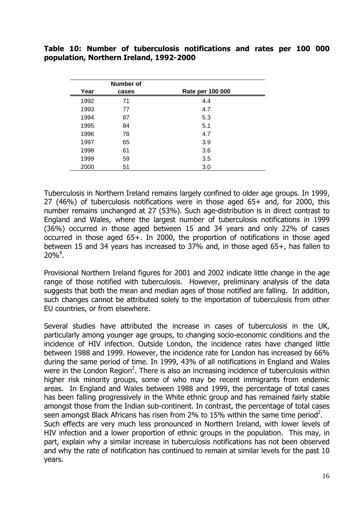**Table 10: Number of tuberculosis notifications and rates per 100 000 population, Northern Ireland, 1992-2000** 

|      | Number of |                  |  |
|------|-----------|------------------|--|
| Year | cases     | Rate per 100 000 |  |
| 1992 | 71        | 4.4              |  |
| 1993 | 77        | 4.7              |  |
| 1994 | 87        | 5.3              |  |
| 1995 | 84        | 5.1              |  |
| 1996 | 78        | 4.7              |  |
| 1997 | 65        | 3.9              |  |
| 1998 | 61        | 3.6              |  |
| 1999 | 59        | 3.5              |  |
| 2000 | 51        | 3.0              |  |

Tuberculosis in Northern Ireland remains largely confined to older age groups. In 1999, 27 (46%) of tuberculosis notifications were in those aged 65+ and, for 2000, this number remains unchanged at 27 (53%). Such age-distribution is in direct contrast to England and Wales, where the largest number of tuberculosis notifications in 1999 (36%) occurred in those aged between 15 and 34 years and only 22% of cases occurred in those aged 65+. In 2000, the proportion of notifications in those aged between 15 and 34 years has increased to 37% and, in those aged 65+, has fallen to  $20\%^{4}$ .

Provisional Northern Ireland figures for 2001 and 2002 indicate little change in the age range of those notified with tuberculosis. However, preliminary analysis of the data suggests that both the mean and median ages of those notified are falling. In addition, such changes cannot be attributed solely to the importation of tuberculosis from other EU countries, or from elsewhere.

Several studies have attributed the increase in cases of tuberculosis in the UK, particularly among younger age groups, to changing socio-economic conditions and the incidence of HIV infection. Outside London, the incidence rates have changed little between 1988 and 1999. However, the incidence rate for London has increased by 66% during the same period of time. In 1999, 43% of all notifications in England and Wales were in the London Region<sup>2</sup>. There is also an increasing incidence of tuberculosis within higher risk minority groups, some of who may be recent immigrants from endemic areas. In England and Wales between 1988 and 1999, the percentage of total cases has been falling progressively in the White ethnic group and has remained fairly stable amongst those from the Indian sub-continent. In contrast, the percentage of total cases seen amongst Black Africans has risen from 2% to 15% within the same time period<sup>2</sup>. Such effects are very much less pronounced in Northern Ireland, with lower levels of HIV infection and a lower proportion of ethnic groups in the population. This may, in part, explain why a similar increase in tuberculosis notifications has not been observed and why the rate of notification has continued to remain at similar levels for the past 10 years.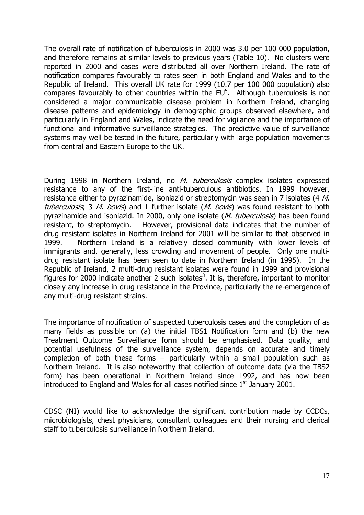The overall rate of notification of tuberculosis in 2000 was 3.0 per 100 000 population, and therefore remains at similar levels to previous years (Table 10). No clusters were reported in 2000 and cases were distributed all over Northern Ireland. The rate of notification compares favourably to rates seen in both England and Wales and to the Republic of Ireland. This overall UK rate for 1999 (10.7 per 100 000 population) also compares favourably to other countries within the  $EU<sup>5</sup>$ . Although tuberculosis is not considered a major communicable disease problem in Northern Ireland, changing disease patterns and epidemiology in demographic groups observed elsewhere, and particularly in England and Wales, indicate the need for vigilance and the importance of functional and informative surveillance strategies. The predictive value of surveillance systems may well be tested in the future, particularly with large population movements from central and Eastern Europe to the UK.

During 1998 in Northern Ireland, no *M. tuberculosis* complex isolates expressed resistance to any of the first-line anti-tuberculous antibiotics. In 1999 however, resistance either to pyrazinamide, isoniazid or streptomycin was seen in 7 isolates (4 M. tuberculosis; 3 M. bovis) and 1 further isolate (M. bovis) was found resistant to both pyrazinamide and isoniazid. In 2000, only one isolate (*M. tuberculosis*) has been found resistant, to streptomycin. However, provisional data indicates that the number of drug resistant isolates in Northern Ireland for 2001 will be similar to that observed in 1999. Northern Ireland is a relatively closed community with lower levels of immigrants and, generally, less crowding and movement of people. Only one multidrug resistant isolate has been seen to date in Northern Ireland (in 1995). In the Republic of Ireland, 2 multi-drug resistant isolates were found in 1999 and provisional figures for 2000 indicate another 2 such isolates<sup>3</sup>. It is, therefore, important to monitor closely any increase in drug resistance in the Province, particularly the re-emergence of any multi-drug resistant strains.

The importance of notification of suspected tuberculosis cases and the completion of as many fields as possible on (a) the initial TBS1 Notification form and (b) the new Treatment Outcome Surveillance form should be emphasised. Data quality, and potential usefulness of the surveillance system, depends on accurate and timely completion of both these forms – particularly within a small population such as Northern Ireland. It is also noteworthy that collection of outcome data (via the TBS2 form) has been operational in Northern Ireland since 1992, and has now been introduced to England and Wales for all cases notified since  $1<sup>st</sup>$  January 2001.

CDSC (NI) would like to acknowledge the significant contribution made by CCDCs, microbiologists, chest physicians, consultant colleagues and their nursing and clerical staff to tuberculosis surveillance in Northern Ireland.